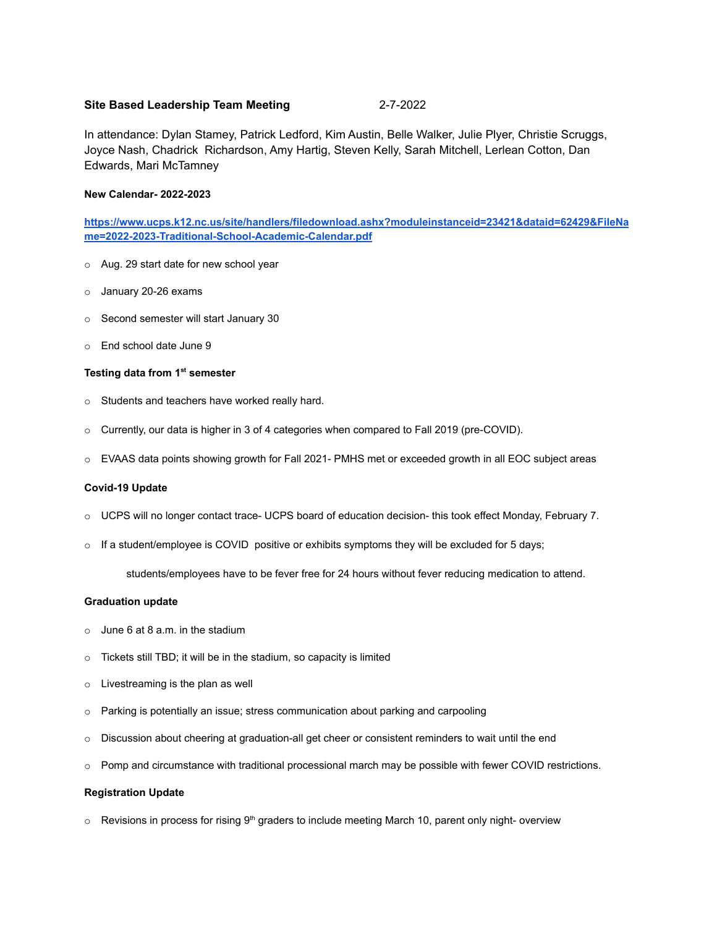# **Site Based Leadership Team Meeting** 2-7-2022

In attendance: Dylan Stamey, Patrick Ledford, Kim Austin, Belle Walker, Julie Plyer, Christie Scruggs, Joyce Nash, Chadrick Richardson, Amy Hartig, Steven Kelly, Sarah Mitchell, Lerlean Cotton, Dan Edwards, Mari McTamney

## **New Calendar- 2022-2023**

**[https://www.ucps.k12.nc.us/site/handlers/filedownload.ashx?moduleinstanceid=23421&dataid=62429&FileNa](https://www.ucps.k12.nc.us/site/handlers/filedownload.ashx?moduleinstanceid=23421&dataid=62429&FileName=2022-2023-Traditional-School-Academic-Calendar.pdf) [me=2022-2023-Traditional-School-Academic-Calendar.pdf](https://www.ucps.k12.nc.us/site/handlers/filedownload.ashx?moduleinstanceid=23421&dataid=62429&FileName=2022-2023-Traditional-School-Academic-Calendar.pdf)**

- o Aug. 29 start date for new school year
- o January 20-26 exams
- o Second semester will start January 30
- o End school date June 9

## **Testing data from 1st semester**

- o Students and teachers have worked really hard.
- o Currently, our data is higher in 3 of 4 categories when compared to Fall 2019 (pre-COVID).
- o EVAAS data points showing growth for Fall 2021- PMHS met or exceeded growth in all EOC subject areas

#### **Covid-19 Update**

- o UCPS will no longer contact trace- UCPS board of education decision- this took effect Monday, February 7.
- $\circ$  If a student/employee is COVID positive or exhibits symptoms they will be excluded for 5 days;

students/employees have to be fever free for 24 hours without fever reducing medication to attend.

#### **Graduation update**

- $\circ$  June 6 at 8 a.m. in the stadium
- o Tickets still TBD; it will be in the stadium, so capacity is limited
- o Livestreaming is the plan as well
- $\circ$  Parking is potentially an issue; stress communication about parking and carpooling
- $\circ$  Discussion about cheering at graduation-all get cheer or consistent reminders to wait until the end
- Pomp and circumstance with traditional processional march may be possible with fewer COVID restrictions.

## **Registration Update**

 $\circ$  Revisions in process for rising 9<sup>th</sup> graders to include meeting March 10, parent only night- overview